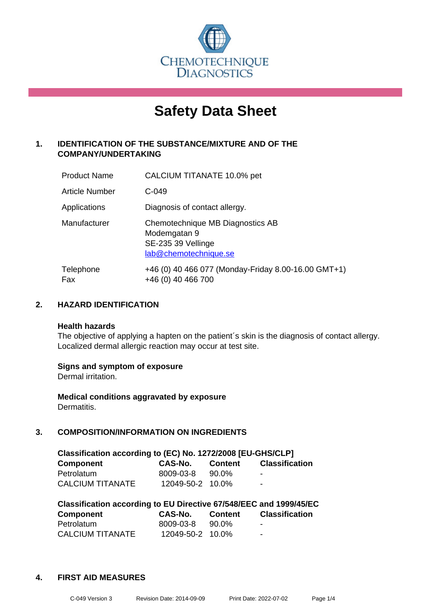

# **Safety Data Sheet**

# **1. IDENTIFICATION OF THE SUBSTANCE/MIXTURE AND OF THE COMPANY/UNDERTAKING**

| <b>Product Name</b>   | CALCIUM TITANATE 10.0% pet                                                                      |
|-----------------------|-------------------------------------------------------------------------------------------------|
| <b>Article Number</b> | $C-049$                                                                                         |
| Applications          | Diagnosis of contact allergy.                                                                   |
| Manufacturer          | Chemotechnique MB Diagnostics AB<br>Modemgatan 9<br>SE-235 39 Vellinge<br>lab@chemotechnique.se |
| Telephone<br>Fax      | +46 (0) 40 466 077 (Monday-Friday 8.00-16.00 GMT+1)<br>+46 (0) 40 466 700                       |

# **2. HAZARD IDENTIFICATION**

#### **Health hazards**

The objective of applying a hapten on the patient's skin is the diagnosis of contact allergy. Localized dermal allergic reaction may occur at test site.

#### **Signs and symptom of exposure**

Dermal irritation.

**Medical conditions aggravated by exposure** Dermatitis.

# **3. COMPOSITION/INFORMATION ON INGREDIENTS**

| Classification according to (EC) No. 1272/2008 [EU-GHS/CLP] |                  |         |                          |  |
|-------------------------------------------------------------|------------------|---------|--------------------------|--|
| <b>Component</b>                                            | CAS-No.          | Content | Classification           |  |
| Petrolatum                                                  | 8009-03-8        | 90.0%   | $\overline{\phantom{a}}$ |  |
| <b>CALCIUM TITANATE</b>                                     | 12049-50-2 10.0% |         | $\sim$                   |  |

| Classification according to EU Directive 67/548/EEC and 1999/45/EC |                  |                |                       |  |
|--------------------------------------------------------------------|------------------|----------------|-----------------------|--|
| Component                                                          | CAS-No.          | <b>Content</b> | <b>Classification</b> |  |
| Petrolatum                                                         | 8009-03-8        | 90.0%          | $\blacksquare$        |  |
| <b>CALCIUM TITANATE</b>                                            | 12049-50-2 10.0% |                | -                     |  |

#### **4. FIRST AID MEASURES**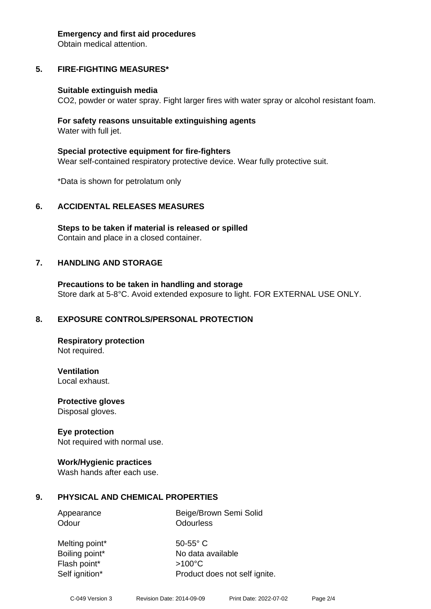#### **Emergency and first aid procedures**

Obtain medical attention.

# **5. FIRE-FIGHTING MEASURES\***

#### **Suitable extinguish media**

CO2, powder or water spray. Fight larger fires with water spray or alcohol resistant foam.

#### **For safety reasons unsuitable extinguishing agents** Water with full jet.

**Special protective equipment for fire-fighters** Wear self-contained respiratory protective device. Wear fully protective suit.

\*Data is shown for petrolatum only

#### **6. ACCIDENTAL RELEASES MEASURES**

**Steps to be taken if material is released or spilled** Contain and place in a closed container.

#### **7. HANDLING AND STORAGE**

**Precautions to be taken in handling and storage** Store dark at 5-8°C. Avoid extended exposure to light. FOR EXTERNAL USE ONLY.

#### **8. EXPOSURE CONTROLS/PERSONAL PROTECTION**

**Respiratory protection** Not required.

**Ventilation**

Local exhaust.

**Protective gloves** Disposal gloves.

#### **Eye protection**

Not required with normal use.

#### **Work/Hygienic practices**

Wash hands after each use.

#### **9. PHYSICAL AND CHEMICAL PROPERTIES**

| Appearance | Beige/Brown Semi Solid |
|------------|------------------------|
| Odour      | Odourless              |

Melting point\* 50-55° C Flash point\* >100°C Self ignition\* Product does not self ignite.

Boiling point\* No data available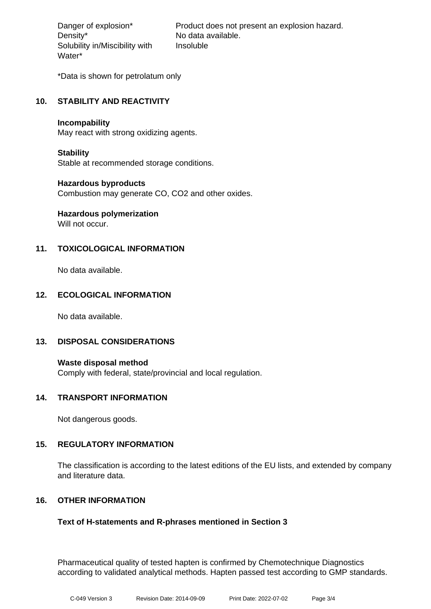Density\* No data available. Solubility in/Miscibility with Water\*

Danger of explosion\* Product does not present an explosion hazard. Insoluble

\*Data is shown for petrolatum only

# **10. STABILITY AND REACTIVITY**

#### **Incompability**

May react with strong oxidizing agents.

#### **Stability**

Stable at recommended storage conditions.

#### **Hazardous byproducts**

Combustion may generate CO, CO2 and other oxides.

# **Hazardous polymerization**

Will not occur.

# **11. TOXICOLOGICAL INFORMATION**

No data available.

#### **12. ECOLOGICAL INFORMATION**

No data available.

#### **13. DISPOSAL CONSIDERATIONS**

**Waste disposal method** Comply with federal, state/provincial and local regulation.

#### **14. TRANSPORT INFORMATION**

Not dangerous goods.

#### **15. REGULATORY INFORMATION**

The classification is according to the latest editions of the EU lists, and extended by company and literature data.

#### **16. OTHER INFORMATION**

#### **Text of H-statements and R-phrases mentioned in Section 3**

Pharmaceutical quality of tested hapten is confirmed by Chemotechnique Diagnostics according to validated analytical methods. Hapten passed test according to GMP standards.